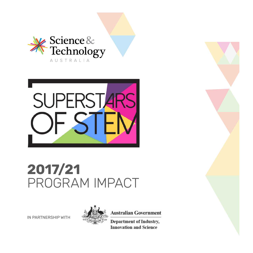



## **2017/21** PROGRAM IMPACT

IN PARTNERSHIP WITH



**Australian Government** 

**Department of Industry, Innovation and Science**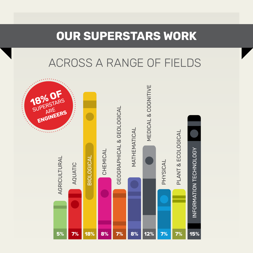#### **OUR SUPERSTARS WORK**

### ACROSS A RANGE OF FIELDS

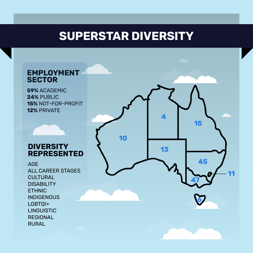#### **SUPERSTAR DIVERSITY**

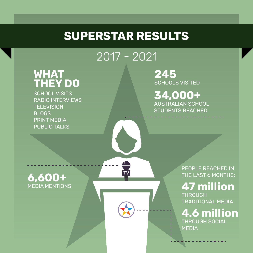#### **SUPERSTAR RESULTS**

#### 2017 - 2021

 $\mathbf{T}$ 

# **WHAT THEY DO**

SCHOOL VISITSRADIO INTERVIEWS **TELEVISION** BLOGSPRINT MEDIAPUBLIC TALKS

**245** SCHOOLS VISITED

**34,000+** AUSTRALIAN SCHOOL STUDENTS REACHED

**6,600+** MEDIA MENTIONS

PEOPLE REACHED IN THE LAST 6 MONTHS:

**47 million** THROUGH TRADITIONAL MEDIA

**4.6 million**THROUGH SOCIAL MEDIA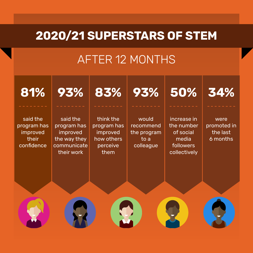#### **2020/21 SUPERSTARS OF STEM**

#### AFTER 12 MONTHS

said the program has improved their confidence**81%**said the program has improved the way they communicate their work**93%**think the program has improved how others perceive them**83%**would recommend the program to a colleague **93% 50% 34%** increase in the number of social media followers collectively were promoted in the last 6 months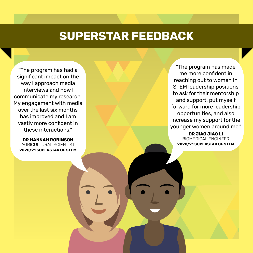#### **SUPERSTAR FEEDBACK**

"The program has had a significant impact on the way I approach media interviews and how I communicate my research. My engagement with media over the last six months has improved and I am vastly more confident in these interactions."

**DR HANNAH ROBINSON**AGRICULTURAL SCIENTIST**2020/21 SUPERSTAR OF STEM**

"The program has made me more confident in reaching out to women in STEM leadership positions to ask for their mentorship and support, put myself forward for more leadership opportunities, and also increase my support for the younger women around me."

> **DR JIAO JIAO LI**BIOMEDICAL ENGINEER**2020/21 SUPERSTAR OF STEM**